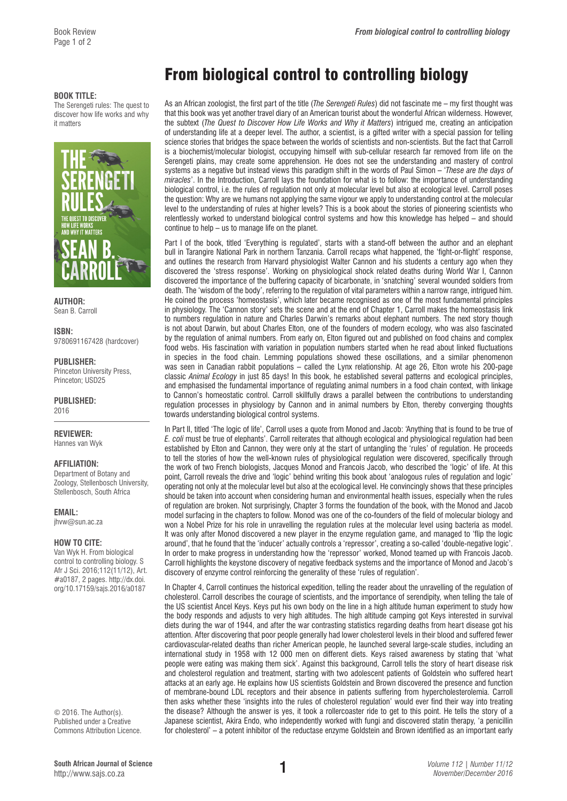## **BOOK TITLE:**

The Serengeti rules: The quest to discover how life works and why it matters



**AUTHOR:**  Sean B. Carroll

**ISBN:**  9780691167428 (hardcover)

**PUBLISHER:** 

Princeton University Press, Princeton; USD25

**PUBLISHED:**  2016

**REVIEWER:** 

Hannes van Wyk

## **AFFILIATION:**

Department of Botany and Zoology, Stellenbosch University, Stellenbosch, South Africa

**EMAIL:** 

[jhvw@sun.ac.za](mailto:jhvw@sun.ac.za)

## **HOW TO CITE:**

Van Wyk H. From biological control to controlling biology. S Afr J Sci. 2016;112(11/12), Art. #a0187, 2 pages. [http://dx.doi.](http://dx.doi.org/10.17159/sajs.2016/a0185) [org/10.17159/sajs.2016/a018](http://dx.doi.org/10.17159/sajs.2016/a0185)7

© 2016. The Author(s). Published under a Creative Commons Attribution Licence.

## From biological control to controlling biology

As an African zoologist, the first part of the title (*The Serengeti Rules*) did not fascinate me – my first thought was that this book was yet another travel diary of an American tourist about the wonderful African wilderness. However, the subtext (*The Quest to Discover How Life Works and Why it Matters*) intrigued me, creating an anticipation of understanding life at a deeper level. The author, a scientist, is a gifted writer with a special passion for telling science stories that bridges the space between the worlds of scientists and non-scientists. But the fact that Carroll is a biochemist/molecular biologist, occupying himself with sub-cellular research far removed from life on the Serengeti plains, may create some apprehension. He does not see the understanding and mastery of control systems as a negative but instead views this paradigm shift in the words of Paul Simon – '*These are the days of miracles*'. In the Introduction, Carroll lays the foundation for what is to follow: the importance of understanding biological control, i.e. the rules of regulation not only at molecular level but also at ecological level. Carroll poses the question: Why are we humans not applying the same vigour we apply to understanding control at the molecular level to the understanding of rules at higher levels? This is a book about the stories of pioneering scientists who relentlessly worked to understand biological control systems and how this knowledge has helped – and should continue to help – us to manage life on the planet.

Part I of the book, titled 'Everything is regulated', starts with a stand-off between the author and an elephant bull in Tarangire National Park in northern Tanzania. Carroll recaps what happened, the 'fight-or-flight' response, and outlines the research from Harvard physiologist Walter Cannon and his students a century ago when they discovered the 'stress response'. Working on physiological shock related deaths during World War I, Cannon discovered the importance of the buffering capacity of bicarbonate, in 'snatching' several wounded soldiers from death. The 'wisdom of the body', referring to the regulation of vital parameters within a narrow range, intrigued him. He coined the process 'homeostasis', which later became recognised as one of the most fundamental principles in physiology. The 'Cannon story' sets the scene and at the end of Chapter 1, Carroll makes the homeostasis link to numbers regulation in nature and Charles Darwin's remarks about elephant numbers. The next story though is not about Darwin, but about Charles Elton, one of the founders of modern ecology, who was also fascinated by the regulation of animal numbers. From early on, Elton figured out and published on food chains and complex food webs. His fascination with variation in population numbers started when he read about linked fluctuations in species in the food chain. Lemming populations showed these oscillations, and a similar phenomenon was seen in Canadian rabbit populations – called the Lynx relationship. At age 26, Elton wrote his 200-page classic *Animal Ecology* in just 85 days! In this book, he established several patterns and ecological principles, and emphasised the fundamental importance of regulating animal numbers in a food chain context, with linkage to Cannon's homeostatic control. Carroll skillfully draws a parallel between the contributions to understanding regulation processes in physiology by Cannon and in animal numbers by Elton, thereby converging thoughts towards understanding biological control systems.

In Part II, titled 'The logic of life', Carroll uses a quote from Monod and Jacob: 'Anything that is found to be true of *E. coli* must be true of elephants'. Carroll reiterates that although ecological and physiological regulation had been established by Elton and Cannon, they were only at the start of untangling the 'rules' of regulation. He proceeds to tell the stories of how the well-known rules of physiological regulation were discovered, specifically through the work of two French biologists, Jacques Monod and Francois Jacob, who described the 'logic' of life. At this point, Carroll reveals the drive and 'logic' behind writing this book about 'analogous rules of regulation and logic' operating not only at the molecular level but also at the ecological level. He convincingly shows that these principles should be taken into account when considering human and environmental health issues, especially when the rules of regulation are broken. Not surprisingly, Chapter 3 forms the foundation of the book, with the Monod and Jacob model surfacing in the chapters to follow. Monod was one of the co-founders of the field of molecular biology and won a Nobel Prize for his role in unravelling the regulation rules at the molecular level using bacteria as model. It was only after Monod discovered a new player in the enzyme regulation game, and managed to 'flip the logic around', that he found that the 'inducer' actually controls a 'repressor', creating a so-called 'double-negative logic'. In order to make progress in understanding how the 'repressor' worked, Monod teamed up with Francois Jacob. Carroll highlights the keystone discovery of negative feedback systems and the importance of Monod and Jacob's discovery of enzyme control reinforcing the generality of these 'rules of regulation'.

In Chapter 4, Carroll continues the historical expedition, telling the reader about the unravelling of the regulation of cholesterol. Carroll describes the courage of scientists, and the importance of serendipity, when telling the tale of the US scientist Ancel Keys. Keys put his own body on the line in a high altitude human experiment to study how the body responds and adjusts to very high altitudes. The high altitude camping got Keys interested in survival diets during the war of 1944, and after the war contrasting statistics regarding deaths from heart disease got his attention. After discovering that poor people generally had lower cholesterol levels in their blood and suffered fewer cardiovascular-related deaths than richer American people, he launched several large-scale studies, including an international study in 1958 with 12 000 men on different diets. Keys raised awareness by stating that 'what people were eating was making them sick'. Against this background, Carroll tells the story of heart disease risk and cholesterol regulation and treatment, starting with two adolescent patients of Goldstein who suffered heart attacks at an early age. He explains how US scientists Goldstein and Brown discovered the presence and function of membrane-bound LDL receptors and their absence in patients suffering from hypercholesterolemia. Carroll then asks whether these 'insights into the rules of cholesterol regulation' would ever find their way into treating the disease? Although the answer is yes, it took a rollercoaster ride to get to this point. He tells the story of a Japanese scientist, Akira Endo, who independently worked with fungi and discovered statin therapy, 'a penicillin for cholesterol' – a potent inhibitor of the reductase enzyme Goldstein and Brown identified as an important early